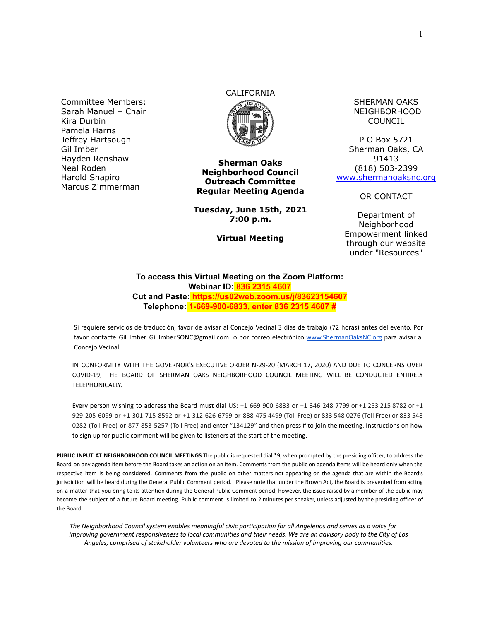Committee Members: Sarah Manuel – Chair Kira Durbin Pamela Harris Jeffrey Hartsough Gil Imber Hayden Renshaw Neal Roden Harold Shapiro Marcus Zimmerman

# CALIFORNIA



**Sherman Oaks Neighborhood Council Outreach Committee Regular Meeting Agenda**

**Tuesday, June 15th, 2021 7:00 p.m.**

**Virtual Meeting**

SHERMAN OAKS NEIGHBORHOOD COUNCIL

P O Box 5721 Sherman Oaks, CA 91413 (818) 503-2399 [www.shermanoaksnc.org](http://www.shermanoaksnc.org/)

OR CONTACT

Department of Neighborhood Empowerment linked through our website under "Resources"

#### **To access this Virtual Meeting on the Zoom Platform: Webinar ID: 836 2315 4607 Cut and Paste: https://us02web.zoom.us/j/83623154607 Telephone: 1-669-900-6833, enter 836 2315 4607 #**

Si requiere servicios de traducción, favor de avisar al Concejo Vecinal 3 días de trabajo (72 horas) antes del evento. Por favor contacte Gil Imber Gil.Imber.SONC@gmail.com o por correo electrónico [www.ShermanOaksNC.org](http://www.shermanoaksnc.org) para avisar al Concejo Vecinal.

IN CONFORMITY WITH THE GOVERNOR'S EXECUTIVE ORDER N-29-20 (MARCH 17, 2020) AND DUE TO CONCERNS OVER COVID-19, THE BOARD OF SHERMAN OAKS NEIGHBORHOOD COUNCIL MEETING WILL BE CONDUCTED ENTIRELY TELEPHONICALLY.

Every person wishing to address the Board must dial US: +1 669 900 6833 or +1 346 248 7799 or +1 253 215 8782 or +1 929 205 6099 or +1 301 715 8592 or +1 312 626 6799 or 888 475 4499 (Toll Free) or 833 548 0276 (Toll Free) or 833 548 0282 (Toll Free) or 877 853 5257 (Toll Free) and enter "134129" and then press # to join the meeting. Instructions on how to sign up for public comment will be given to listeners at the start of the meeting.

**PUBLIC INPUT AT NEIGHBORHOOD COUNCIL MEETINGS** The public is requested dial \*9, when prompted by the presiding officer, to address the Board on any agenda item before the Board takes an action on an item. Comments from the public on agenda items will be heard only when the respective item is being considered. Comments from the public on other matters not appearing on the agenda that are within the Board's jurisdiction will be heard during the General Public Comment period. Please note that under the Brown Act, the Board is prevented from acting on a matter that you bring to its attention during the General Public Comment period; however, the issue raised by a member of the public may become the subject of a future Board meeting. Public comment is limited to 2 minutes per speaker, unless adjusted by the presiding officer of the Board.

*The Neighborhood Council system enables meaningful civic participation for all Angelenos and serves as a voice for improving government responsiveness to local communities and their needs. We are an advisory body to the City of Los Angeles, comprised of stakeholder volunteers who are devoted to the mission of improving our communities.*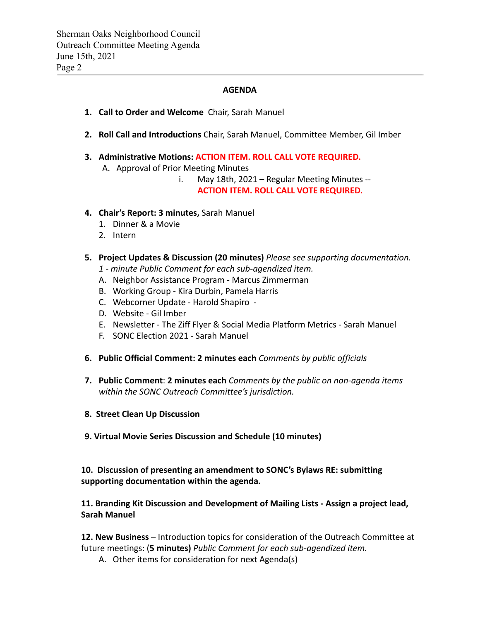### **AGENDA**

- **1. Call to Order and Welcome** Chair, Sarah Manuel
- **2. Roll Call and Introductions** Chair, Sarah Manuel, Committee Member, Gil Imber
- **3. Administrative Motions: ACTION ITEM. ROLL CALL VOTE REQUIRED.**
	- A. Approval of Prior Meeting Minutes
		- i. May 18th, 2021 Regular Meeting Minutes --

## **ACTION ITEM. ROLL CALL VOTE REQUIRED.**

- **4. Chair's Report: 3 minutes,** Sarah Manuel
	- 1. Dinner & a Movie
	- 2. Intern
- **5. Project Updates & Discussion (20 minutes)** *Please see supporting documentation.*
	- *1 minute Public Comment for each sub-agendized item.*
	- A. Neighbor Assistance Program Marcus Zimmerman
	- B. Working Group Kira Durbin, Pamela Harris
	- C. Webcorner Update Harold Shapiro -
	- D. Website Gil Imber
	- E. Newsletter The Ziff Flyer & Social Media Platform Metrics Sarah Manuel
	- F. SONC Election 2021 Sarah Manuel
- **6. Public Official Comment: 2 minutes each** *Comments by public officials*
- **7. Public Comment**: **2 minutes each** *Comments by the public on non-agenda items within the SONC Outreach Committee's jurisdiction.*
- **8. Street Clean Up Discussion**
- **9. Virtual Movie Series Discussion and Schedule (10 minutes)**

**10. Discussion of presenting an amendment to SONC's Bylaws RE: submitting supporting documentation within the agenda.**

**11. Branding Kit Discussion and Development of Mailing Lists - Assign a project lead, Sarah Manuel**

**12. New Business** – Introduction topics for consideration of the Outreach Committee at future meetings: (**5 minutes)** *Public Comment for each sub-agendized item.*

A. Other items for consideration for next Agenda(s)